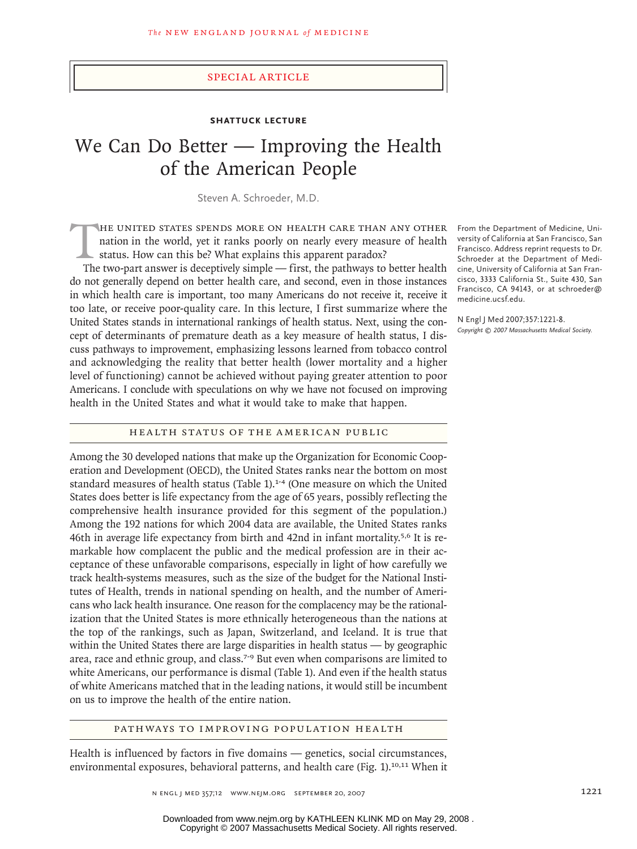#### special article

# **SHATTUCK LECTURE**

# We Can Do Better — Improving the Health of the American People

Steven A. Schroeder, M.D.

HE UNITED STATES SPENDS MORE ON HEALTH CARE THAN ANY OTHER<br>nation in the world, yet it ranks poorly on nearly every measure of health<br>status. How can this be? What explains this apparent paradox?<br>The two-part answer is dec nation in the world, yet it ranks poorly on nearly every measure of health status. How can this be? What explains this apparent paradox?

The two-part answer is deceptively simple — first, the pathways to better health do not generally depend on better health care, and second, even in those instances in which health care is important, too many Americans do not receive it, receive it too late, or receive poor-quality care. In this lecture, I first summarize where the United States stands in international rankings of health status. Next, using the concept of determinants of premature death as a key measure of health status, I discuss pathways to improvement, emphasizing lessons learned from tobacco control and acknowledging the reality that better health (lower mortality and a higher level of functioning) cannot be achieved without paying greater attention to poor Americans. I conclude with speculations on why we have not focused on improving health in the United States and what it would take to make that happen.

#### HEALTH STATUS OF THE AMERICAN PUBLIC

Among the 30 developed nations that make up the Organization for Economic Cooperation and Development (OECD), the United States ranks near the bottom on most standard measures of health status (Table 1).1-4 (One measure on which the United States does better is life expectancy from the age of 65 years, possibly reflecting the comprehensive health insurance provided for this segment of the population.) Among the 192 nations for which 2004 data are available, the United States ranks 46th in average life expectancy from birth and 42nd in infant mortality.<sup>5,6</sup> It is remarkable how complacent the public and the medical profession are in their acceptance of these unfavorable comparisons, especially in light of how carefully we track health-systems measures, such as the size of the budget for the National Institutes of Health, trends in national spending on health, and the number of Americans who lack health insurance. One reason for the complacency may be the rationalization that the United States is more ethnically heterogeneous than the nations at the top of the rankings, such as Japan, Switzerland, and Iceland. It is true that within the United States there are large disparities in health status — by geographic area, race and ethnic group, and class.7-9 But even when comparisons are limited to white Americans, our performance is dismal (Table 1). And even if the health status of white Americans matched that in the leading nations, it would still be incumbent on us to improve the health of the entire nation.

#### PATH WAYS TO IMPROVING POPULATION HEALTH

Health is influenced by factors in five domains — genetics, social circumstances, environmental exposures, behavioral patterns, and health care (Fig. 1).<sup>10,11</sup> When it

From the Department of Medicine, University of California at San Francisco, San Francisco. Address reprint requests to Dr. Schroeder at the Department of Medicine, University of California at San Francisco, 3333 California St., Suite 430, San Francisco, CA 94143, or at schroeder@ medicine.ucsf.edu.

N Engl J Med 2007;357:1221-8. *Copyright © 2007 Massachusetts Medical Society.*

Copyright © 2007 Massachusetts Medical Society. All rights reserved. Downloaded from www.nejm.org by KATHLEEN KLINK MD on May 29, 2008 .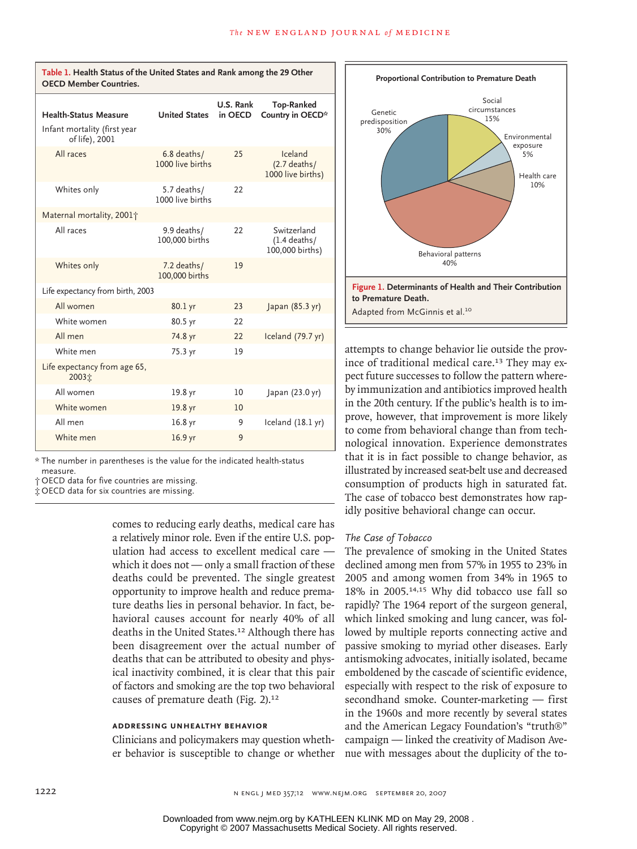| Table 1. Health Status of the United States and Rank among the 29 Other<br><b>OECD Member Countries.</b> |                                 |                      |                                                  |  |  |  |
|----------------------------------------------------------------------------------------------------------|---------------------------------|----------------------|--------------------------------------------------|--|--|--|
| <b>Health-Status Measure</b><br>Infant mortality (first year<br>of life), 2001                           | <b>United States</b>            | U.S. Rank<br>in OECD | <b>Top-Ranked</b><br>Country in OECD*            |  |  |  |
| All races                                                                                                | 6.8 deaths/<br>1000 live births | 25                   | Iceland<br>$(2.7$ deaths/<br>1000 live births)   |  |  |  |
| Whites only                                                                                              | 5.7 deaths/<br>1000 live births | 22                   |                                                  |  |  |  |
| Maternal mortality, 2001+                                                                                |                                 |                      |                                                  |  |  |  |
| All races                                                                                                | 9.9 deaths/<br>100,000 births   | 22                   | Switzerland<br>$(1.4$ deaths/<br>100,000 births) |  |  |  |
| Whites only                                                                                              | 7.2 deaths/<br>100,000 births   | 19                   |                                                  |  |  |  |
| Life expectancy from birth, 2003                                                                         |                                 |                      |                                                  |  |  |  |
| All women                                                                                                | 80.1 yr                         | 23                   | Japan (85.3 yr)                                  |  |  |  |
| White women                                                                                              | 80.5 yr                         | 22                   |                                                  |  |  |  |
| All men                                                                                                  | 74.8 yr                         | 22                   | Iceland (79.7 yr)                                |  |  |  |
| White men                                                                                                | 75.3 yr                         | 19                   |                                                  |  |  |  |
| Life expectancy from age 65,<br>2003立                                                                    |                                 |                      |                                                  |  |  |  |
| All women                                                                                                | 19.8 yr                         | 10                   | Japan (23.0 yr)                                  |  |  |  |
| White women                                                                                              | 19.8 yr                         | 10                   |                                                  |  |  |  |
| All men                                                                                                  | 16.8 yr                         | 9                    | Iceland (18.1 yr)                                |  |  |  |
| White men                                                                                                | 16.9 yr                         | 9                    |                                                  |  |  |  |

\* The number in parentheses is the value for the indicated health-status measure.

† OECD data for five countries are missing.

‡ OECD data for six countries are missing.

comes to reducing early deaths, medical care has a relatively minor role. Even if the entire U.S. population had access to excellent medical care which it does not — only a small fraction of these deaths could be prevented. The single greatest opportunity to improve health and reduce premature deaths lies in personal behavior. In fact, behavioral causes account for nearly 40% of all deaths in the United States.<sup>12</sup> Although there has been disagreement over the actual number of deaths that can be attributed to obesity and physical inactivity combined, it is clear that this pair of factors and smoking are the top two behavioral causes of premature death (Fig. 2).<sup>12</sup>

## **Addressing Unhealthy Behavior**

Clinicians and policymakers may question whether behavior is susceptible to change or whether



attempts to change behavior lie outside the province of traditional medical care.<sup>13</sup> They may expect future successes to follow the pattern whereby immunization and antibiotics improved health in the 20th century. If the public's health is to improve, however, that improvement is more likely to come from behavioral change than from technological innovation. Experience demonstrates that it is in fact possible to change behavior, as illustrated by increased seat-belt use and decreased consumption of products high in saturated fat. The case of tobacco best demonstrates how rapidly positive behavioral change can occur.

#### *The Case of Tobacco*

The prevalence of smoking in the United States declined among men from 57% in 1955 to 23% in 2005 and among women from 34% in 1965 to 18% in 2005.14,15 Why did tobacco use fall so rapidly? The 1964 report of the surgeon general, which linked smoking and lung cancer, was followed by multiple reports connecting active and passive smoking to myriad other diseases. Early antismoking advocates, initially isolated, became emboldened by the cascade of scientific evidence, especially with respect to the risk of exposure to secondhand smoke. Counter-marketing — first in the 1960s and more recently by several states and the American Legacy Foundation's "truth®" campaign — linked the creativity of Madison Avenue with messages about the duplicity of the to-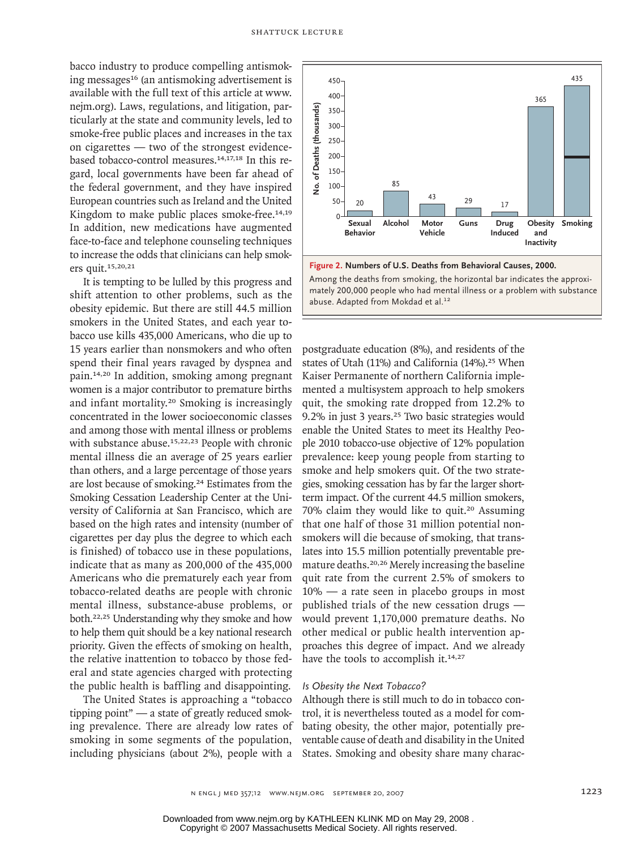bacco industry to produce compelling antismoking messages16 (an antismoking advertisement is available with the full text of this article at www. nejm.org). Laws, regulations, and litigation, particularly at the state and community levels, led to smoke-free public places and increases in the tax on cigarettes — two of the strongest evidencebased tobacco-control measures.<sup>14,17,18</sup> In this regard, local governments have been far ahead of the federal government, and they have inspired European countries such as Ireland and the United Kingdom to make public places smoke-free.14,19 In addition, new medications have augmented face-to-face and telephone counseling techniques to increase the odds that clinicians can help smokers quit.15,20,21

It is tempting to be lulled by this progress and shift attention to other problems, such as the obesity epidemic. But there are still 44.5 million smokers in the United States, and each year tobacco use kills 435,000 Americans, who die up to 15 years earlier than nonsmokers and who often spend their final years ravaged by dyspnea and pain.14,20 In addition, smoking among pregnant women is a major contributor to premature births and infant mortality.20 Smoking is increasingly concentrated in the lower socioeconomic classes and among those with mental illness or problems with substance abuse.<sup>15,22,23</sup> People with chronic mental illness die an average of 25 years earlier than others, and a large percentage of those years are lost because of smoking.<sup>24</sup> Estimates from the Smoking Cessation Leadership Center at the University of California at San Francisco, which are based on the high rates and intensity (number of cigarettes per day plus the degree to which each is finished) of tobacco use in these populations, indicate that as many as 200,000 of the 435,000 Americans who die prematurely each year from tobacco-related deaths are people with chronic mental illness, substance-abuse problems, or both.22,25 Understanding why they smoke and how to help them quit should be a key national research priority. Given the effects of smoking on health, the relative inattention to tobacco by those federal and state agencies charged with protecting the public health is baffling and disappointing.

The United States is approaching a "tobacco tipping point" — a state of greatly reduced smoking prevalence. There are already low rates of smoking in some segments of the population, including physicians (about 2%), people with a



Among the deaths from smoking, the horizontal bar indicates the approxiname momentuing, the horizonial bar maleates and<br>10 people who had mental illness or a problem with abuse. Adapted from Mokdad et al.<sup>12</sup> mately 200,000 people who had mental illness or a problem with substance

H/T

H/T

**SIZE**

postgraduate education (8%), and residents of the states of Utah (11%) and California (14%).<sup>25</sup> When Kaiser Permanente of northern California implemented a multisystem approach to help smokers quit, the smoking rate dropped from 12.2% to 9.2% in just 3 years.<sup>25</sup> Two basic strategies would enable the United States to meet its Healthy People 2010 tobacco-use objective of 12% population prevalence: keep young people from starting to smoke and help smokers quit. Of the two strategies, smoking cessation has by far the larger shortterm impact. Of the current 44.5 million smokers, 70% claim they would like to quit.<sup>20</sup> Assuming that one half of those 31 million potential nonsmokers will die because of smoking, that translates into 15.5 million potentially preventable premature deaths.20,26 Merely increasing the baseline quit rate from the current 2.5% of smokers to 10% — a rate seen in placebo groups in most published trials of the new cessation drugs would prevent 1,170,000 premature deaths. No other medical or public health intervention approaches this degree of impact. And we already have the tools to accomplish it.<sup>14,27</sup>

EMail Line

ARTIST: ts

### *Is Obesity the Next Tobacco?*

Although there is still much to do in tobacco control, it is nevertheless touted as a model for combating obesity, the other major, potentially preventable cause of death and disability in the United States. Smoking and obesity share many charac-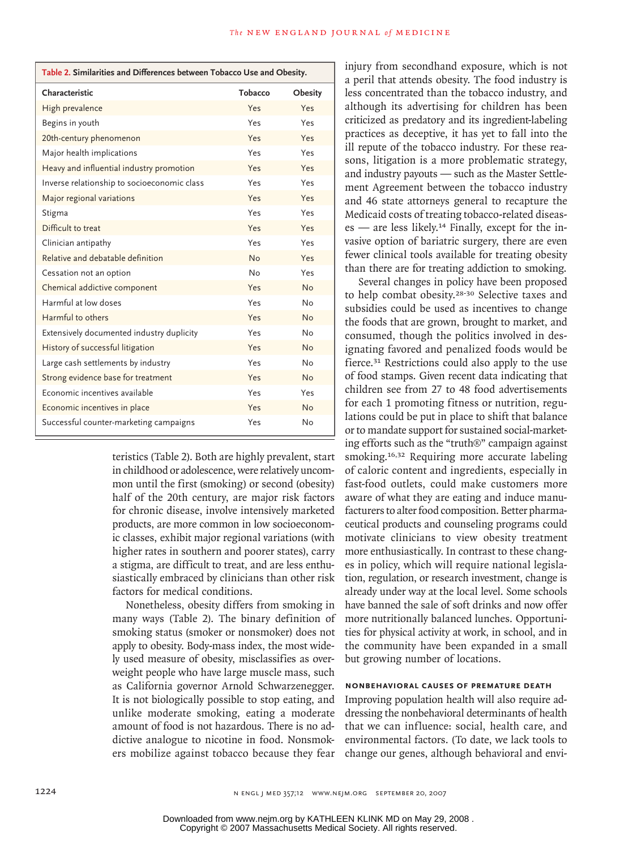| Table 2. Similarities and Differences between Tobacco Use and Obesity. |  |  |  |
|------------------------------------------------------------------------|--|--|--|
|------------------------------------------------------------------------|--|--|--|

| Characteristic                              | Tobacco   | Obesity   |
|---------------------------------------------|-----------|-----------|
| High prevalence                             | Yes       | Yes       |
| Begins in youth                             | Yes       | Yes       |
| 20th-century phenomenon                     | Yes       | Yes       |
| Major health implications                   | Yes       | Yes       |
| Heavy and influential industry promotion    | Yes       | Yes       |
| Inverse relationship to socioeconomic class | Yes       | Yes       |
| Major regional variations                   | Yes       | Yes       |
| Stigma                                      | Yes       | Yes       |
| Difficult to treat                          | Yes       | Yes       |
| Clinician antipathy                         | Yes       | Yes       |
| Relative and debatable definition           | <b>No</b> | Yes       |
| Cessation not an option                     | No        | Yes       |
| Chemical addictive component                | Yes       | No        |
| Harmful at low doses                        | Yes       | <b>No</b> |
| Harmful to others                           | Yes       | <b>No</b> |
| Extensively documented industry duplicity   | Yes       | <b>No</b> |
| History of successful litigation            | Yes       | <b>No</b> |
| Large cash settlements by industry          | Yes       | <b>No</b> |
| Strong evidence base for treatment          | Yes       | <b>No</b> |
| Economic incentives available               | Yes       | Yes       |
| Economic incentives in place                | Yes       | <b>No</b> |
| Successful counter-marketing campaigns      | Yes       | <b>No</b> |

teristics (Table 2). Both are highly prevalent, start in childhood or adolescence, were relatively uncommon until the first (smoking) or second (obesity) half of the 20th century, are major risk factors for chronic disease, involve intensively marketed products, are more common in low socioeconomic classes, exhibit major regional variations (with higher rates in southern and poorer states), carry a stigma, are difficult to treat, and are less enthusiastically embraced by clinicians than other risk factors for medical conditions.

Nonetheless, obesity differs from smoking in many ways (Table 2). The binary definition of smoking status (smoker or nonsmoker) does not apply to obesity. Body-mass index, the most widely used measure of obesity, misclassifies as overweight people who have large muscle mass, such as California governor Arnold Schwarzenegger. It is not biologically possible to stop eating, and unlike moderate smoking, eating a moderate amount of food is not hazardous. There is no addictive analogue to nicotine in food. Nonsmokers mobilize against tobacco because they fear

injury from secondhand exposure, which is not a peril that attends obesity. The food industry is less concentrated than the tobacco industry, and although its advertising for children has been criticized as predatory and its ingredient-labeling practices as deceptive, it has yet to fall into the ill repute of the tobacco industry. For these reasons, litigation is a more problematic strategy, and industry payouts — such as the Master Settlement Agreement between the tobacco industry and 46 state attorneys general to recapture the Medicaid costs of treating tobacco-related diseases — are less likely.14 Finally, except for the invasive option of bariatric surgery, there are even fewer clinical tools available for treating obesity than there are for treating addiction to smoking.

Several changes in policy have been proposed to help combat obesity.28-30 Selective taxes and subsidies could be used as incentives to change the foods that are grown, brought to market, and consumed, though the politics involved in designating favored and penalized foods would be fierce.31 Restrictions could also apply to the use of food stamps. Given recent data indicating that children see from 27 to 48 food advertisements for each 1 promoting fitness or nutrition, regulations could be put in place to shift that balance or to mandate support for sustained social-marketing efforts such as the "truth®" campaign against smoking.<sup>16,32</sup> Requiring more accurate labeling of caloric content and ingredients, especially in fast-food outlets, could make customers more aware of what they are eating and induce manufacturers to alter food composition. Better pharmaceutical products and counseling programs could motivate clinicians to view obesity treatment more enthusiastically. In contrast to these changes in policy, which will require national legislation, regulation, or research investment, change is already under way at the local level. Some schools have banned the sale of soft drinks and now offer more nutritionally balanced lunches. Opportunities for physical activity at work, in school, and in the community have been expanded in a small but growing number of locations.

### **Nonbehavioral Causes of Premature Death**

Improving population health will also require addressing the nonbehavioral determinants of health that we can influence: social, health care, and environmental factors. (To date, we lack tools to change our genes, although behavioral and envi-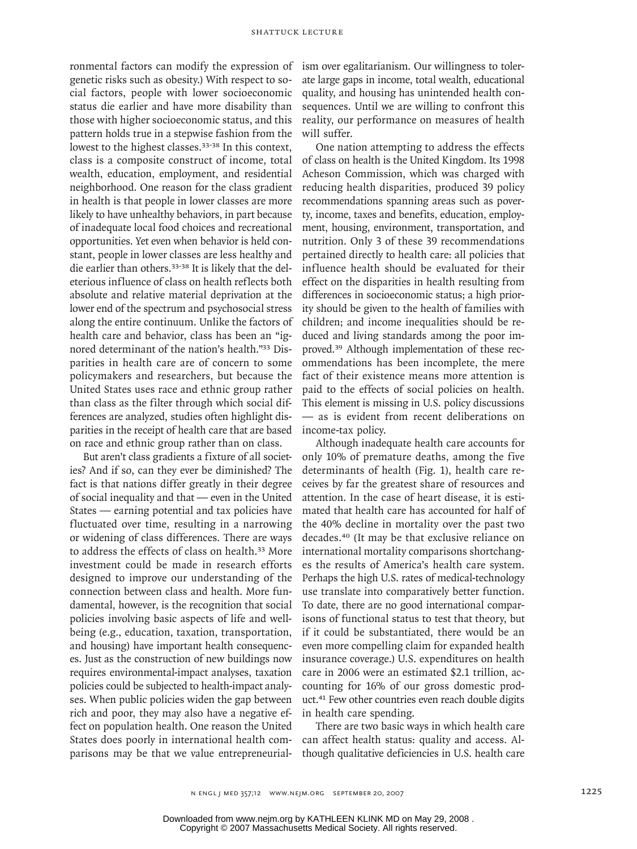ronmental factors can modify the expression of genetic risks such as obesity.) With respect to social factors, people with lower socioeconomic status die earlier and have more disability than those with higher socioeconomic status, and this pattern holds true in a stepwise fashion from the lowest to the highest classes.<sup>33-38</sup> In this context, class is a composite construct of income, total wealth, education, employment, and residential neighborhood. One reason for the class gradient in health is that people in lower classes are more likely to have unhealthy behaviors, in part because of inadequate local food choices and recreational opportunities. Yet even when behavior is held constant, people in lower classes are less healthy and die earlier than others.<sup>33-38</sup> It is likely that the deleterious influence of class on health reflects both absolute and relative material deprivation at the lower end of the spectrum and psychosocial stress along the entire continuum. Unlike the factors of health care and behavior, class has been an "ignored determinant of the nation's health."33 Disparities in health care are of concern to some policymakers and researchers, but because the United States uses race and ethnic group rather than class as the filter through which social differences are analyzed, studies often highlight disparities in the receipt of health care that are based on race and ethnic group rather than on class.

But aren't class gradients a fixture of all societies? And if so, can they ever be diminished? The fact is that nations differ greatly in their degree of social inequality and that — even in the United States — earning potential and tax policies have fluctuated over time, resulting in a narrowing or widening of class differences. There are ways to address the effects of class on health.<sup>33</sup> More investment could be made in research efforts designed to improve our understanding of the connection between class and health. More fundamental, however, is the recognition that social policies involving basic aspects of life and wellbeing (e.g., education, taxation, transportation, and housing) have important health consequences. Just as the construction of new buildings now requires environmental-impact analyses, taxation policies could be subjected to health-impact analyses. When public policies widen the gap between rich and poor, they may also have a negative effect on population health. One reason the United States does poorly in international health comparisons may be that we value entrepreneurialism over egalitarianism. Our willingness to tolerate large gaps in income, total wealth, educational quality, and housing has unintended health consequences. Until we are willing to confront this reality, our performance on measures of health will suffer.

One nation attempting to address the effects of class on health is the United Kingdom. Its 1998 Acheson Commission, which was charged with reducing health disparities, produced 39 policy recommendations spanning areas such as poverty, income, taxes and benefits, education, employment, housing, environment, transportation, and nutrition. Only 3 of these 39 recommendations pertained directly to health care: all policies that influence health should be evaluated for their effect on the disparities in health resulting from differences in socioeconomic status; a high priority should be given to the health of families with children; and income inequalities should be reduced and living standards among the poor improved.39 Although implementation of these recommendations has been incomplete, the mere fact of their existence means more attention is paid to the effects of social policies on health. This element is missing in U.S. policy discussions — as is evident from recent deliberations on income-tax policy.

Although inadequate health care accounts for only 10% of premature deaths, among the five determinants of health (Fig. 1), health care receives by far the greatest share of resources and attention. In the case of heart disease, it is estimated that health care has accounted for half of the 40% decline in mortality over the past two decades.40 (It may be that exclusive reliance on international mortality comparisons shortchanges the results of America's health care system. Perhaps the high U.S. rates of medical-technology use translate into comparatively better function. To date, there are no good international comparisons of functional status to test that theory, but if it could be substantiated, there would be an even more compelling claim for expanded health insurance coverage.) U.S. expenditures on health care in 2006 were an estimated \$2.1 trillion, accounting for 16% of our gross domestic product.<sup>41</sup> Few other countries even reach double digits in health care spending.

There are two basic ways in which health care can affect health status: quality and access. Although qualitative deficiencies in U.S. health care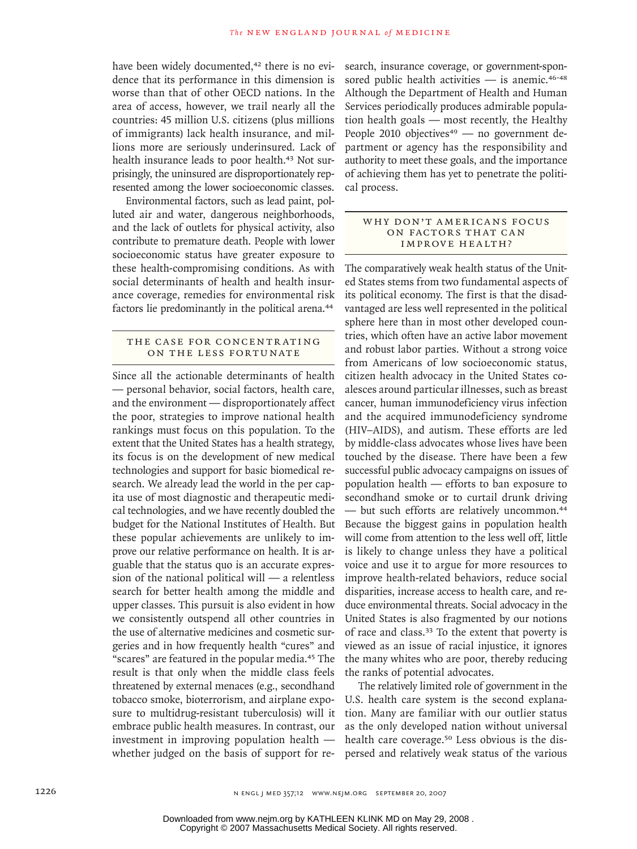have been widely documented,<sup>42</sup> there is no evidence that its performance in this dimension is worse than that of other OECD nations. In the area of access, however, we trail nearly all the countries: 45 million U.S. citizens (plus millions of immigrants) lack health insurance, and millions more are seriously underinsured. Lack of health insurance leads to poor health.<sup>43</sup> Not surprisingly, the uninsured are disproportionately represented among the lower socioeconomic classes.

Environmental factors, such as lead paint, polluted air and water, dangerous neighborhoods, and the lack of outlets for physical activity, also contribute to premature death. People with lower socioeconomic status have greater exposure to these health-compromising conditions. As with social determinants of health and health insurance coverage, remedies for environmental risk factors lie predominantly in the political arena.<sup>44</sup>

## THE CASE FOR CONCENTRATING ON THE LESS FORTUNATE

Since all the actionable determinants of health — personal behavior, social factors, health care, and the environment — disproportionately affect the poor, strategies to improve national health rankings must focus on this population. To the extent that the United States has a health strategy, its focus is on the development of new medical technologies and support for basic biomedical research. We already lead the world in the per capita use of most diagnostic and therapeutic medical technologies, and we have recently doubled the budget for the National Institutes of Health. But these popular achievements are unlikely to improve our relative performance on health. It is arguable that the status quo is an accurate expression of the national political will — a relentless search for better health among the middle and upper classes. This pursuit is also evident in how we consistently outspend all other countries in the use of alternative medicines and cosmetic surgeries and in how frequently health "cures" and "scares" are featured in the popular media.45 The result is that only when the middle class feels threatened by external menaces (e.g., secondhand tobacco smoke, bioterrorism, and airplane exposure to multidrug-resistant tuberculosis) will it embrace public health measures. In contrast, our investment in improving population health whether judged on the basis of support for research, insurance coverage, or government-sponsored public health activities - is anemic.<sup>46-48</sup> Although the Department of Health and Human Services periodically produces admirable population health goals — most recently, the Healthy People 2010 objectives<sup>49</sup> — no government department or agency has the responsibility and authority to meet these goals, and the importance of achieving them has yet to penetrate the political process.

### WHY DON'T AMERICANS FOCUS ON FACTORS THAT CAN IMPROVE HEALTH?

The comparatively weak health status of the United States stems from two fundamental aspects of its political economy. The first is that the disadvantaged are less well represented in the political sphere here than in most other developed countries, which often have an active labor movement and robust labor parties. Without a strong voice from Americans of low socioeconomic status, citizen health advocacy in the United States coalesces around particular illnesses, such as breast cancer, human immunodeficiency virus infection and the acquired immunodeficiency syndrome (HIV–AIDS), and autism. These efforts are led by middle-class advocates whose lives have been touched by the disease. There have been a few successful public advocacy campaigns on issues of population health — efforts to ban exposure to secondhand smoke or to curtail drunk driving — but such efforts are relatively uncommon.<sup>44</sup> Because the biggest gains in population health will come from attention to the less well off, little is likely to change unless they have a political voice and use it to argue for more resources to improve health-related behaviors, reduce social disparities, increase access to health care, and reduce environmental threats. Social advocacy in the United States is also fragmented by our notions of race and class.33 To the extent that poverty is viewed as an issue of racial injustice, it ignores the many whites who are poor, thereby reducing the ranks of potential advocates.

The relatively limited role of government in the U.S. health care system is the second explanation. Many are familiar with our outlier status as the only developed nation without universal health care coverage.50 Less obvious is the dispersed and relatively weak status of the various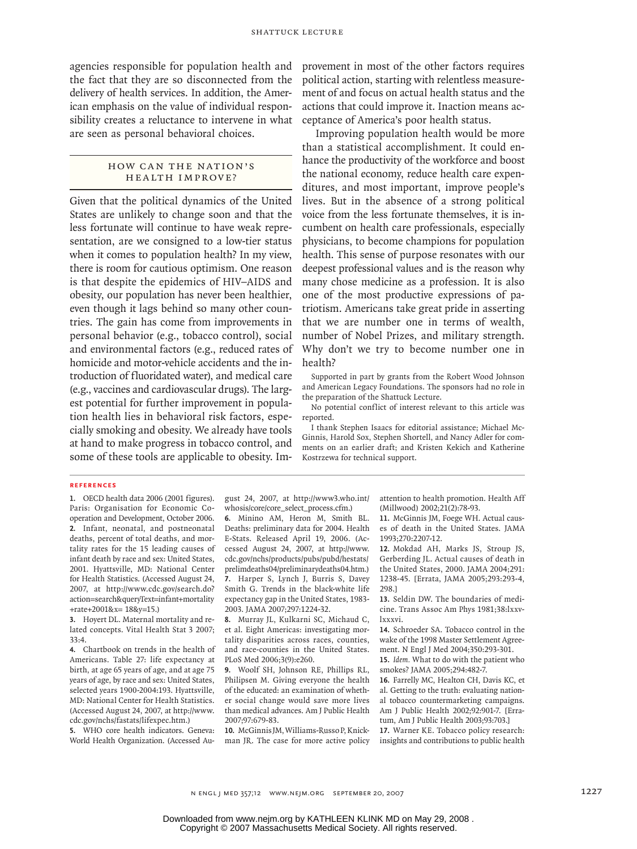agencies responsible for population health and the fact that they are so disconnected from the delivery of health services. In addition, the American emphasis on the value of individual responsibility creates a reluctance to intervene in what are seen as personal behavioral choices.

#### HOW CAN THE NATION'S HEALTH IMPROVE?

Given that the political dynamics of the United States are unlikely to change soon and that the less fortunate will continue to have weak representation, are we consigned to a low-tier status when it comes to population health? In my view, there is room for cautious optimism. One reason is that despite the epidemics of HIV–AIDS and obesity, our population has never been healthier, even though it lags behind so many other countries. The gain has come from improvements in personal behavior (e.g., tobacco control), social and environmental factors (e.g., reduced rates of homicide and motor-vehicle accidents and the introduction of fluoridated water), and medical care (e.g., vaccines and cardiovascular drugs). The largest potential for further improvement in population health lies in behavioral risk factors, especially smoking and obesity. We already have tools at hand to make progress in tobacco control, and some of these tools are applicable to obesity. Improvement in most of the other factors requires political action, starting with relentless measurement of and focus on actual health status and the actions that could improve it. Inaction means acceptance of America's poor health status.

Improving population health would be more than a statistical accomplishment. It could enhance the productivity of the workforce and boost the national economy, reduce health care expenditures, and most important, improve people's lives. But in the absence of a strong political voice from the less fortunate themselves, it is incumbent on health care professionals, especially physicians, to become champions for population health. This sense of purpose resonates with our deepest professional values and is the reason why many chose medicine as a profession. It is also one of the most productive expressions of patriotism. Americans take great pride in asserting that we are number one in terms of wealth, number of Nobel Prizes, and military strength. Why don't we try to become number one in health?

Supported in part by grants from the Robert Wood Johnson and American Legacy Foundations. The sponsors had no role in the preparation of the Shattuck Lecture.

No potential conflict of interest relevant to this article was reported.

I thank Stephen Isaacs for editorial assistance; Michael Mc-Ginnis, Harold Sox, Stephen Shortell, and Nancy Adler for comments on an earlier draft; and Kristen Kekich and Katherine Kostrzewa for technical support.

#### **References**

OECD health data 2006 (2001 figures). **1.** Paris: Organisation for Economic Cooperation and Development, October 2006. Infant, neonatal, and postneonatal **2.** deaths, percent of total deaths, and mortality rates for the 15 leading causes of infant death by race and sex: United States, 2001. Hyattsville, MD: National Center for Health Statistics. (Accessed August 24, 2007, at http://www.cdc.gov/search.do? action=search&queryText=infant+mortality +rate+2001&x= 18&y=15.)

Hoyert DL. Maternal mortality and re-**3.** lated concepts. Vital Health Stat 3 2007; 33:4.

Chartbook on trends in the health of **4.** Americans. Table 27: life expectancy at birth, at age 65 years of age, and at age 75 years of age, by race and sex: United States, selected years 1900-2004:193. Hyattsville, MD: National Center for Health Statistics. (Accessed August 24, 2007, at http://www. cdc.gov/nchs/fastats/lifexpec.htm.)

WHO core health indicators. Geneva: **5.** World Health Organization. (Accessed August 24, 2007, at http://www3.who.int/ whosis/core/core\_select\_process.cfm.)

Minino AM, Heron M, Smith BL. **6.** Deaths: preliminary data for 2004. Health E-Stats. Released April 19, 2006. (Accessed August 24, 2007, at http://www. cdc.gov/nchs/products/pubs/pubd/hestats/ prelimdeaths04/preliminarydeaths04.htm.) Harper S, Lynch J, Burris S, Davey **7.** Smith G. Trends in the black-white life expectancy gap in the United States, 1983- 2003. JAMA 2007;297:1224-32.

Murray JL, Kulkarni SC, Michaud C, **8.** et al. Eight Americas: investigating mortality disparities across races, counties, and race-counties in the United States. PLoS Med 2006;3(9):e260.

Woolf SH, Johnson RE, Phillips RL, **9.** Philipsen M. Giving everyone the health of the educated: an examination of whether social change would save more lives than medical advances. Am J Public Health 2007;97:679-83.

10. McGinnis JM, Williams-Russo P, Knickman JR. The case for more active policy

attention to health promotion. Health Aff (Millwood) 2002;21(2):78-93.

11. McGinnis JM, Foege WH. Actual causes of death in the United States. JAMA 1993;270:2207-12.

Mokdad AH, Marks JS, Stroup JS, **12.** Gerberding JL. Actual causes of death in the United States, 2000. JAMA 2004;291: 1238-45. [Errata, JAMA 2005;293:293-4, 298.]

13. Seldin DW. The boundaries of medicine. Trans Assoc Am Phys 1981;38:lxxvlxxxvi.

14. Schroeder SA. Tobacco control in the wake of the 1998 Master Settlement Agreement. N Engl J Med 2004;350:293-301.

*Idem.* What to do with the patient who **15.** smokes? JAMA 2005;294:482-7.

16. Farrelly MC, Healton CH, Davis KC, et al. Getting to the truth: evaluating national tobacco countermarketing campaigns. Am J Public Health 2002;92:901-7. [Erratum, Am J Public Health 2003;93:703.]

17. Warner KE. Tobacco policy research: insights and contributions to public health